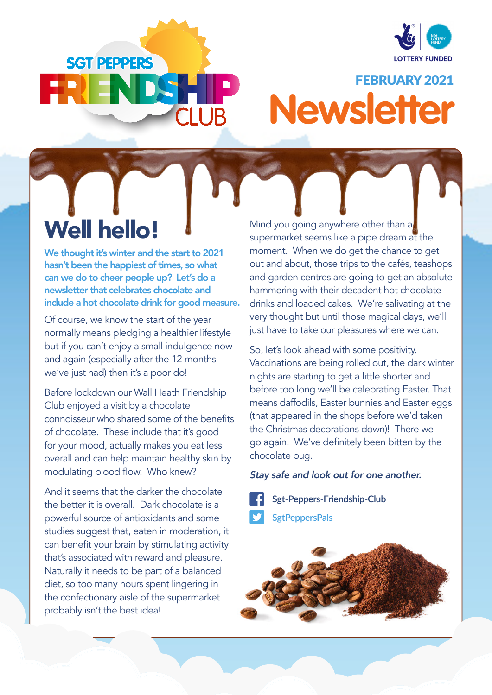

# **SGT PEPPERS**

# FEBRUARY 2021 **Newsletter**

# Well hello!

We thought it's winter and the start to 2021 hasn't been the happiest of times, so what can we do to cheer people up? Let's do a newsletter that celebrates chocolate and include a hot chocolate drink for good measure.

Of course, we know the start of the year normally means pledging a healthier lifestyle but if you can't enjoy a small indulgence now and again (especially after the 12 months we've just had) then it's a poor do!

Before lockdown our Wall Heath Friendship Club enjoyed a visit by a chocolate connoisseur who shared some of the benefits of chocolate. These include that it's good for your mood, actually makes you eat less overall and can help maintain healthy skin by modulating blood flow. Who knew?

And it seems that the darker the chocolate the better it is overall. Dark chocolate is a powerful source of antioxidants and some studies suggest that, eaten in moderation, it can benefit your brain by stimulating activity that's associated with reward and pleasure. Naturally it needs to be part of a balanced diet, so too many hours spent lingering in the confectionary aisle of the supermarket probably isn't the best idea!

Mind you going anywhere other than a supermarket seems like a pipe dream at the moment. When we do get the chance to get out and about, those trips to the cafés, teashops and garden centres are going to get an absolute hammering with their decadent hot chocolate drinks and loaded cakes. We're salivating at the very thought but until those magical days, we'll just have to take our pleasures where we can.

So, let's look ahead with some positivity. Vaccinations are being rolled out, the dark winter nights are starting to get a little shorter and before too long we'll be celebrating Easter. That means daffodils, Easter bunnies and Easter eggs (that appeared in the shops before we'd taken the Christmas decorations down)! There we go again! We've definitely been bitten by the chocolate bug.

#### *Stay safe and look out for one another.*

**Sgt-Peppers-Friendship-Club**

**SgtPeppersPals**

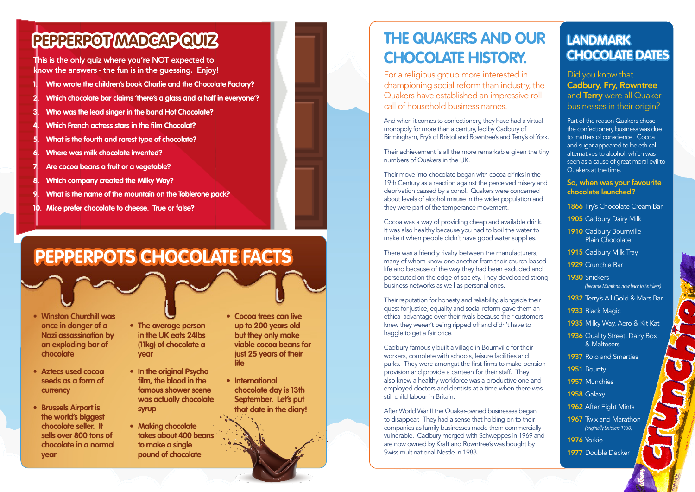This is the only quiz where you're NOT expected to know the answers - the fun is in the guessing. Enjoy!

## **PEPPERPOT MADCAP QUIZ**

- **1. Who wrote the children's book Charlie and the Chocolate Factory?**
- **2. Which chocolate bar claims 'there's a glass and a half in everyone'?**
- **3. Who was the lead singer in the band Hot Chocolate?**
- **4. Which French actress stars in the film Chocolat?**
- **5. What is the fourth and rarest type of chocolate?**
- **6. Where was milk chocolate invented?**
- **7. Are cocoa beans a fruit or a vegetable?**
- **8. Which company created the Milky Way?**
- **9. What is the name of the mountain on the Toblerone pack?**
- **10. Mice prefer chocolate to cheese. True or false?**

## **THE QUAKERS AND OUR CHOCOLATE HISTORY.**

For a religious group more interested in championing social reform than industry, the Quakers have established an impressive roll call of household business names.

There was a friendly rivalry between the manufacturers, many of whom knew one another from their church-based life and because of the way they had been excluded and persecuted on the edge of society. They developed strong business networks as well as personal ones.

Their reputation for honesty and reliability, alongside their quest for justice, equality and social reform gave them an ethical advantage over their rivals because their customers knew they weren't being ripped off and didn't have to haggle to get a fair price.

And when it comes to confectionery, they have had a virtual monopoly for more than a century, led by Cadbury of Birmingham, Fry's of Bristol and Rowntree's and Terry's of York.

Their achievement is all the more remarkable given the tiny numbers of Quakers in the UK.

Their move into chocolate began with cocoa drinks in the 19th Century as a reaction against the perceived misery and deprivation caused by alcohol. Quakers were concerned about levels of alcohol misuse in the wider population and they were part of the temperance movement.

Cocoa was a way of providing cheap and available drink. It was also healthy because you had to boil the water to make it when people didn't have good water supplies.

Part of the reason Quakers chose the confectionery business was due to matters of conscience. Cocoa and sugar appeared to be ethical alternatives to alcohol, which was seen as a cause of great moral evil to Quakers at the time.

Cadbury famously built a village in Bournville for their workers, complete with schools, leisure facilities and parks. They were amongst the first firms to make pension provision and provide a canteen for their staff. They also knew a healthy workforce was a productive one and employed doctors and dentists at a time when there was still child labour in Britain.

After World War II the Quaker-owned businesses began to disappear. They had a sense that holding on to their companies as family businesses made them commercially vulnerable. Cadbury merged with Schweppes in 1969 and are now owned by Kraft and Rowntree's was bought by Swiss multinational Nestle in 1988.

# **PEPPERPOTS CHOCOLATE FACTS**

- **• Winston Churchill was once in danger of a Nazi assassination by an exploding bar of chocolate**
- **• Aztecs used cocoa seeds as a form of currency**
- **• Brussels Airport is the world's biggest chocolate seller. It sells over 800 tons of chocolate in a normal year**
- **• The average person in the UK eats 24lbs (11kg) of chocolate a year**
- **• In the original Psycho film, the blood in the famous shower scene was actually chocolate syrup**
- **• Making chocolate takes about 400 beans to make a single pound of chocolate**
- **• Cocoa trees can live up to 200 years old but they only make viable cocoa beans for just 25 years of their life**
- **• International chocolate day is 13th September. Let's put that date in the diary!**

## **LANDMARK CHOCOLATE DATES**

Did you know that Cadbury, Fry, Rowntree and **Terry** were all Quaker businesses in their origin?

#### So, when was your favourite chocolate launched?

- 1866 Fry's Chocolate Cream Bar
- 1905 Cadbury Dairy Milk
- 1910 Cadbury Bournville Plain Chocolate
- 1915 Cadbury Milk Tray
- 1929 Crunchie Bar
- 1930 Snickers *(became Marathon now back to Snickers)*
- 1932 Terry's All Gold & Mars Bar
- 1933 Black Magic
- 1935 Milky Way, Aero & Kit Kat
- 1936 Quality Street, Dairy Box & Maltesers
- 1937 Rolo and Smarties
- 1951 Bounty
- 1957 Munchies
- **1958 Galaxy**
- 1962 After Eight Mints
- 1967 Twix and Marathon *(originally Snickers 1930)*
- **1976** Yorkie
- 1977 Double Decker